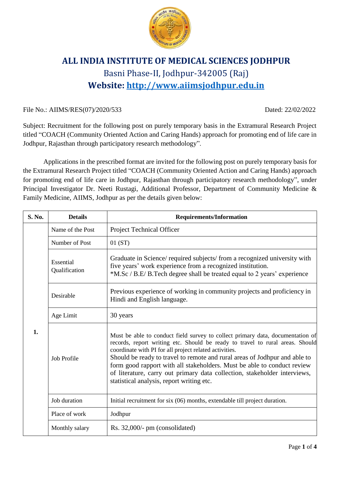

# **ALL INDIA INSTITUTE OF MEDICAL SCIENCES JODHPUR** Basni Phase-II, Jodhpur-342005 (Raj) **Website: [http://www.aiimsjodhpur.edu.in](http://www.aiimsjodhpur.edu.in/)**

## File No.: AIIMS/RES(07)/2020/533 Dated: 22/02/2022

Subject: Recruitment for the following post on purely temporary basis in the Extramural Research Project titled "COACH (Community Oriented Action and Caring Hands) approach for promoting end of life care in Jodhpur, Rajasthan through participatory research methodology".

Applications in the prescribed format are invited for the following post on purely temporary basis for the Extramural Research Project titled "COACH (Community Oriented Action and Caring Hands) approach for promoting end of life care in Jodhpur, Rajasthan through participatory research methodology", under Principal Investigator Dr. Neeti Rustagi, Additional Professor, Department of Community Medicine & Family Medicine, AIIMS, Jodhpur as per the details given below:

| S. No. | <b>Details</b>             | <b>Requirements/Information</b>                                                                                                                                                                                                                                                                                                                                                                                                                                                                              |  |  |
|--------|----------------------------|--------------------------------------------------------------------------------------------------------------------------------------------------------------------------------------------------------------------------------------------------------------------------------------------------------------------------------------------------------------------------------------------------------------------------------------------------------------------------------------------------------------|--|--|
|        | Name of the Post           | Project Technical Officer                                                                                                                                                                                                                                                                                                                                                                                                                                                                                    |  |  |
| 1.     | Number of Post             | 01(ST)                                                                                                                                                                                                                                                                                                                                                                                                                                                                                                       |  |  |
|        | Essential<br>Qualification | Graduate in Science/ required subjects/ from a recognized university with<br>five years' work experience from a recognized institution.<br>*M.Sc / B.E/ B.Tech degree shall be treated equal to 2 years' experience                                                                                                                                                                                                                                                                                          |  |  |
|        | Desirable                  | Previous experience of working in community projects and proficiency in<br>Hindi and English language.                                                                                                                                                                                                                                                                                                                                                                                                       |  |  |
|        | Age Limit                  | 30 years                                                                                                                                                                                                                                                                                                                                                                                                                                                                                                     |  |  |
|        | <b>Job Profile</b>         | Must be able to conduct field survey to collect primary data, documentation of<br>records, report writing etc. Should be ready to travel to rural areas. Should<br>coordinate with PI for all project related activities.<br>Should be ready to travel to remote and rural areas of Jodhpur and able to<br>form good rapport with all stakeholders. Must be able to conduct review<br>of literature, carry out primary data collection, stakeholder interviews,<br>statistical analysis, report writing etc. |  |  |
|        | Job duration               | Initial recruitment for six (06) months, extendable till project duration.                                                                                                                                                                                                                                                                                                                                                                                                                                   |  |  |
|        | Place of work              | Jodhpur                                                                                                                                                                                                                                                                                                                                                                                                                                                                                                      |  |  |
|        | Monthly salary             | Rs. 32,000/- pm (consolidated)                                                                                                                                                                                                                                                                                                                                                                                                                                                                               |  |  |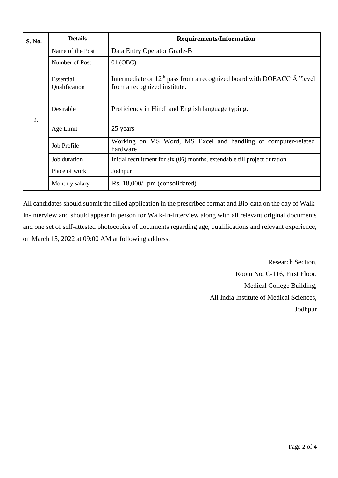| S. No. | <b>Details</b>             | <b>Requirements/Information</b>                                                                                   |  |  |  |  |
|--------|----------------------------|-------------------------------------------------------------------------------------------------------------------|--|--|--|--|
| 2.     | Name of the Post           | Data Entry Operator Grade-B                                                                                       |  |  |  |  |
|        | Number of Post             | 01 (OBC)                                                                                                          |  |  |  |  |
|        | Essential<br>Qualification | Intermediate or $12th$ pass from a recognized board with DOEACC $\ddot{A}$ "level<br>from a recognized institute. |  |  |  |  |
|        | Desirable                  | Proficiency in Hindi and English language typing.                                                                 |  |  |  |  |
|        | Age Limit                  | 25 years                                                                                                          |  |  |  |  |
|        | Job Profile                | Working on MS Word, MS Excel and handling of computer-related<br>hardware                                         |  |  |  |  |
|        | Job duration               | Initial recruitment for six (06) months, extendable till project duration.                                        |  |  |  |  |
|        | Place of work              | Jodhpur                                                                                                           |  |  |  |  |
|        | Monthly salary             | Rs. $18,000/-$ pm (consolidated)                                                                                  |  |  |  |  |

All candidates should submit the filled application in the prescribed format and Bio-data on the day of Walk-In-Interview and should appear in person for Walk-In-Interview along with all relevant original documents and one set of self-attested photocopies of documents regarding age, qualifications and relevant experience, on March 15, 2022 at 09:00 AM at following address:

> Research Section, Room No. C-116, First Floor, Medical College Building, All India Institute of Medical Sciences, Jodhpur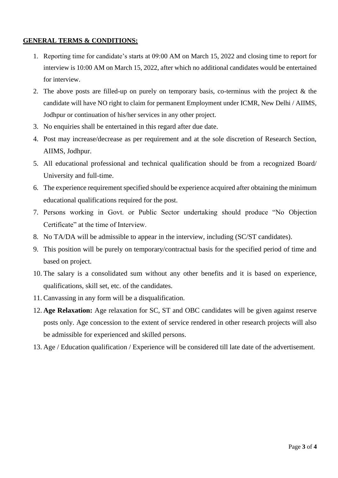### **GENERAL TERMS & CONDITIONS:**

- 1. Reporting time for candidate's starts at 09:00 AM on March 15, 2022 and closing time to report for interview is 10:00 AM on March 15, 2022, after which no additional candidates would be entertained for interview.
- 2. The above posts are filled-up on purely on temporary basis, co-terminus with the project & the candidate will have NO right to claim for permanent Employment under ICMR, New Delhi / AIIMS, Jodhpur or continuation of his/her services in any other project.
- 3. No enquiries shall be entertained in this regard after due date.
- 4. Post may increase/decrease as per requirement and at the sole discretion of Research Section, AIIMS, Jodhpur.
- 5. All educational professional and technical qualification should be from a recognized Board/ University and full-time.
- 6. The experience requirement specified should be experience acquired after obtaining the minimum educational qualifications required for the post.
- 7. Persons working in Govt. or Public Sector undertaking should produce "No Objection Certificate" at the time of Interview.
- 8. No TA/DA will be admissible to appear in the interview, including (SC/ST candidates).
- 9. This position will be purely on temporary/contractual basis for the specified period of time and based on project.
- 10. The salary is a consolidated sum without any other benefits and it is based on experience, qualifications, skill set, etc. of the candidates.
- 11. Canvassing in any form will be a disqualification.
- 12. **Age Relaxation:** Age relaxation for SC, ST and OBC candidates will be given against reserve posts only. Age concession to the extent of service rendered in other research projects will also be admissible for experienced and skilled persons.
- 13. Age / Education qualification / Experience will be considered till late date of the advertisement.